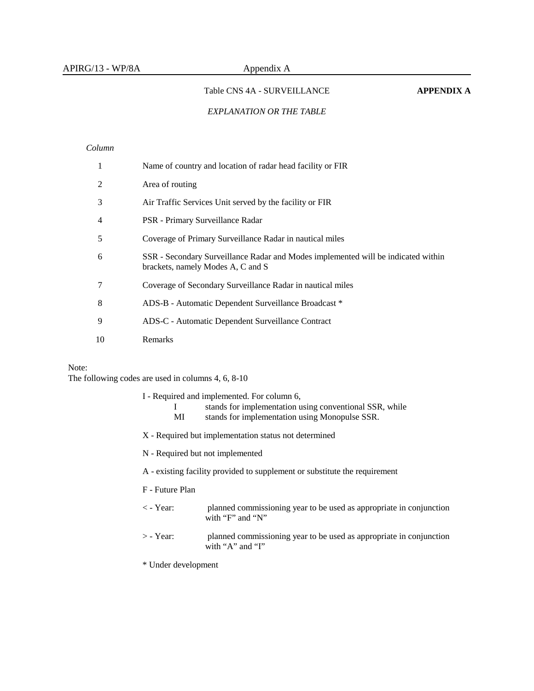### Table CNS 4A - SURVEILLANCE **APPENDIX A**

### *EXPLANATION OR THE TABLE*

### *Column*

|    | Name of country and location of radar head facility or FIR                                                             |
|----|------------------------------------------------------------------------------------------------------------------------|
|    | Area of routing                                                                                                        |
| 3  | Air Traffic Services Unit served by the facility or FIR                                                                |
| 4  | PSR - Primary Surveillance Radar                                                                                       |
| 5  | Coverage of Primary Surveillance Radar in nautical miles                                                               |
| 6  | SSR - Secondary Surveillance Radar and Modes implemented will be indicated within<br>brackets, namely Modes A, C and S |
|    | Coverage of Secondary Surveillance Radar in nautical miles                                                             |
| 8  | ADS-B - Automatic Dependent Surveillance Broadcast *                                                                   |
| 9  | ADS-C - Automatic Dependent Surveillance Contract                                                                      |
| 10 | Remarks                                                                                                                |

### Note:

The following codes are used in columns 4, 6, 8-10

- I Required and implemented. For column 6,
	- I stands for implementation using conventional SSR, while
	- MI stands for implementation using Monopulse SSR.
- X Required but implementation status not determined
- N Required but not implemented
- A existing facility provided to supplement or substitute the requirement
- F Future Plan
- < Year: planned commissioning year to be used as appropriate in conjunction with "F" and "N"
- > Year: planned commissioning year to be used as appropriate in conjunction with "A" and "I"
- \* Under development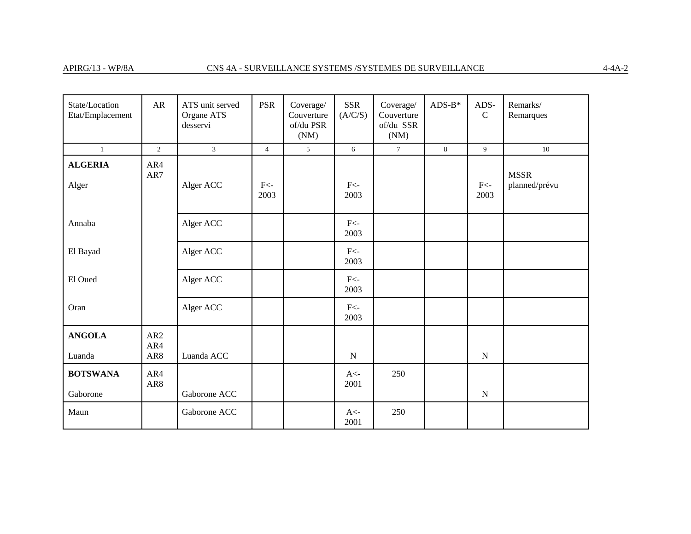| State/Location<br>Etat/Emplacement | AR                | ATS unit served<br>Organe ATS<br>desservi | <b>PSR</b>     | Coverage/<br>Couverture<br>of/du PSR<br>(NM) | <b>SSR</b><br>(A/C/S) | Coverage/<br>Couverture<br>of/du SSR<br>(NM) | $ADS-B*$ | ADS-<br>$\mathbf C$ | Remarks/<br>Remarques        |
|------------------------------------|-------------------|-------------------------------------------|----------------|----------------------------------------------|-----------------------|----------------------------------------------|----------|---------------------|------------------------------|
| $\mathbf{1}$                       | $\overline{2}$    | 3 <sup>1</sup>                            | $\overline{4}$ | 5                                            | 6                     | $\tau$                                       | 8        | 9                   | 10                           |
| <b>ALGERIA</b><br>Alger            | AR4<br>AR7        | Alger ACC                                 | $F<$ -<br>2003 |                                              | $F<$ -<br>2003        |                                              |          | $F<$ -<br>2003      | <b>MSSR</b><br>planned/prévu |
| Annaba                             |                   | Alger ACC                                 |                |                                              | $F<$ -<br>2003        |                                              |          |                     |                              |
| El Bayad                           |                   | Alger ACC                                 |                |                                              | $F<$ -<br>2003        |                                              |          |                     |                              |
| El Oued                            |                   | Alger ACC                                 |                |                                              | $F<-$<br>2003         |                                              |          |                     |                              |
| Oran                               |                   | Alger ACC                                 |                |                                              | $F<$ -<br>2003        |                                              |          |                     |                              |
| <b>ANGOLA</b><br>Luanda            | AR2<br>AR4<br>AR8 | Luanda ACC                                |                |                                              | ${\bf N}$             |                                              |          | ${\bf N}$           |                              |
| <b>BOTSWANA</b><br>Gaborone        | AR4<br>AR8        | Gaborone ACC                              |                |                                              | $A<$ -<br>2001        | 250                                          |          | ${\bf N}$           |                              |
| Maun                               |                   | Gaborone ACC                              |                |                                              | $A<$ -<br>2001        | 250                                          |          |                     |                              |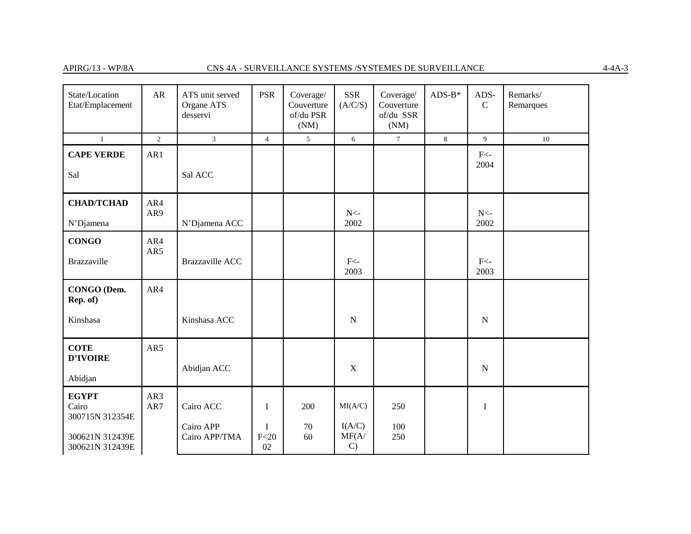| State/Location<br>Etat/Emplacement       | AR         | ATS unit served<br>Organe ATS<br>desservi | <b>PSR</b>                | Coverage/<br>Couverture<br>of/du PSR<br>(NM) | <b>SSR</b><br>(A/C/S)            | Coverage/<br>Couverture<br>of/du SSR<br>(NM) | $ADS-B*$ | ADS-<br>$\mathcal{C}$ | Remarks/<br>Remarques |
|------------------------------------------|------------|-------------------------------------------|---------------------------|----------------------------------------------|----------------------------------|----------------------------------------------|----------|-----------------------|-----------------------|
| $\mathbf{1}$                             | 2          | $\mathfrak{Z}$                            | $\overline{4}$            | 5                                            | 6                                | $\tau$                                       | $8\,$    | 9                     | $10\,$                |
| <b>CAPE VERDE</b><br>Sal                 | AR1        | Sal ACC                                   |                           |                                              |                                  |                                              |          | $F<$ -<br>2004        |                       |
|                                          |            |                                           |                           |                                              |                                  |                                              |          |                       |                       |
| <b>CHAD/TCHAD</b>                        | AR4<br>AR9 |                                           |                           |                                              | $N<$ -                           |                                              |          | $N<$ -                |                       |
| N'Djamena                                |            | N'Djamena ACC                             |                           |                                              | 2002                             |                                              |          | 2002                  |                       |
| <b>CONGO</b><br>Brazzaville              | AR4<br>AR5 | <b>Brazzaville ACC</b>                    |                           |                                              | $F<$ -<br>2003                   |                                              |          | $F<$ -<br>2003        |                       |
| CONGO (Dem.<br>Rep. of)                  | AR4        |                                           |                           |                                              |                                  |                                              |          |                       |                       |
| Kinshasa                                 |            | Kinshasa ACC                              |                           |                                              | ${\bf N}$                        |                                              |          | ${\bf N}$             |                       |
| <b>COTE</b><br>D'IVOIRE                  | AR5        | Abidjan ACC                               |                           |                                              | $\mathbf X$                      |                                              |          | ${\bf N}$             |                       |
| Abidjan                                  |            |                                           |                           |                                              |                                  |                                              |          |                       |                       |
| <b>EGYPT</b><br>Cairo<br>300715N 312354E | AR3<br>AR7 | Cairo ACC                                 | $\mathbf I$               | 200                                          | MI(A/C)                          | 250                                          |          | $\bf I$               |                       |
| 300621N 312439E<br>300621N 312439E       |            | Cairo APP<br>Cairo APP/TMA                | $\mathbf I$<br>F<20<br>02 | 70<br>60                                     | I(A/C)<br>MF(A/<br>$\mathcal{C}$ | 100<br>250                                   |          |                       |                       |

 $4-4A-3$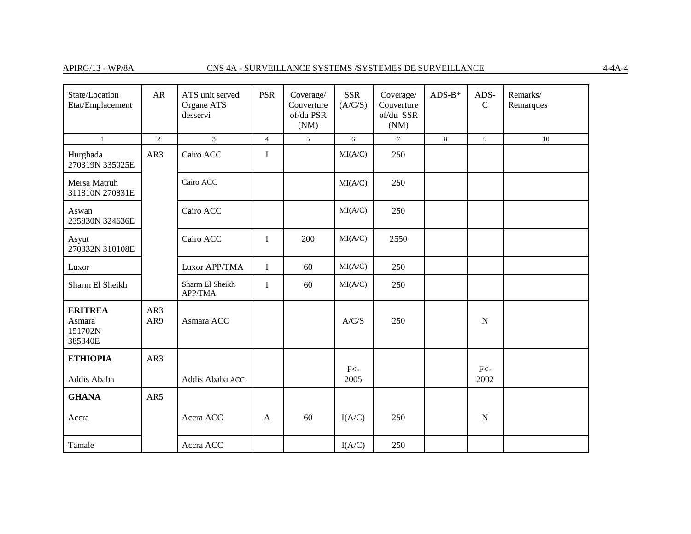| State/Location<br>Etat/Emplacement             | <b>AR</b>  | ATS unit served<br>Organe ATS<br>desservi | <b>PSR</b>     | Coverage/<br>Couverture<br>of/du PSR<br>(NM) | <b>SSR</b><br>(A/C/S) | Coverage/<br>Couverture<br>of/du SSR<br>(NM) | $ADS-B*$ | ADS-<br>$\mathcal{C}$ | Remarks/<br>Remarques |
|------------------------------------------------|------------|-------------------------------------------|----------------|----------------------------------------------|-----------------------|----------------------------------------------|----------|-----------------------|-----------------------|
| $\mathbf{1}$                                   | 2          | $\overline{3}$                            | $\overline{4}$ | 5                                            | 6                     | $7\phantom{.0}$                              | 8        | 9                     | 10                    |
| Hurghada<br>270319N 335025E                    | AR3        | Cairo ACC                                 | $\bf{I}$       |                                              | MI(A/C)               | 250                                          |          |                       |                       |
| Mersa Matruh<br>311810N 270831E                |            | Cairo ACC                                 |                |                                              | MI(A/C)               | 250                                          |          |                       |                       |
| Aswan<br>235830N 324636E                       |            | Cairo ACC                                 |                |                                              | MI(A/C)               | 250                                          |          |                       |                       |
| Asyut<br>270332N 310108E                       |            | Cairo ACC                                 | $\bf I$        | 200                                          | MI(A/C)               | 2550                                         |          |                       |                       |
| Luxor                                          |            | Luxor APP/TMA                             | $\mathbf I$    | 60                                           | MI(A/C)               | 250                                          |          |                       |                       |
| Sharm El Sheikh                                |            | Sharm El Sheikh<br>APP/TMA                | $\bf I$        | 60                                           | MI(A/C)               | 250                                          |          |                       |                       |
| <b>ERITREA</b><br>Asmara<br>151702N<br>385340E | AR3<br>AR9 | Asmara ACC                                |                |                                              | A/C/S                 | 250                                          |          | $\mathbf N$           |                       |
| <b>ETHIOPIA</b>                                | AR3        |                                           |                |                                              |                       |                                              |          |                       |                       |
| Addis Ababa                                    |            | Addis Ababa ACC                           |                |                                              | $F<$ -<br>2005        |                                              |          | $F<$ -<br>2002        |                       |
| <b>GHANA</b>                                   | AR5        |                                           |                |                                              |                       |                                              |          |                       |                       |
| Accra                                          |            | Accra ACC                                 | A              | 60                                           | I(A/C)                | 250                                          |          | ${\bf N}$             |                       |
| Tamale                                         |            | Accra ACC                                 |                |                                              | I(A/C)                | 250                                          |          |                       |                       |

 $4-4A-4$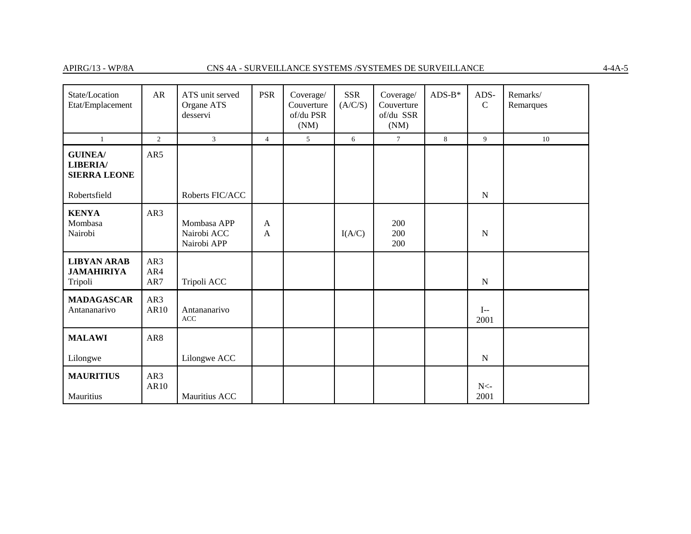# $\frac{\text{APIRG}}{13} \cdot \text{WP}/\text{8A} \qquad \qquad \text{CNS 4A - SURVELLLANCE SYSTEMS} \text{/}\text{SYSTEMES DE SURVELLLANCE}$

| State/Location<br>Etat/Emplacement                       | ${\sf AR}$        | ATS unit served<br>Organe ATS<br>desservi | <b>PSR</b>                   | Coverage/<br>Couverture<br>of/du PSR<br>(NM) | SSR<br>(A/C/S) | Coverage/<br>Couverture<br>of/du SSR<br>(NM) | $ADS-B*$ | ADS-<br>$\mathcal{C}$ | Remarks/<br>Remarques |
|----------------------------------------------------------|-------------------|-------------------------------------------|------------------------------|----------------------------------------------|----------------|----------------------------------------------|----------|-----------------------|-----------------------|
| $\mathbf{1}$                                             | 2                 | 3                                         | $\overline{4}$               | 5                                            | 6              | $\tau$                                       | 8        | 9                     | 10                    |
| <b>GUINEA/</b><br><b>LIBERIA/</b><br><b>SIERRA LEONE</b> | AR5               |                                           |                              |                                              |                |                                              |          |                       |                       |
| Robertsfield                                             |                   | Roberts FIC/ACC                           |                              |                                              |                |                                              |          | ${\bf N}$             |                       |
| <b>KENYA</b><br>Mombasa<br>Nairobi                       | AR3               | Mombasa APP<br>Nairobi ACC<br>Nairobi APP | $\mathsf{A}$<br>$\mathsf{A}$ |                                              | I(A/C)         | 200<br>200<br>200                            |          | $\mathbf N$           |                       |
| <b>LIBYAN ARAB</b><br><b>JAMAHIRIYA</b><br>Tripoli       | AR3<br>AR4<br>AR7 | Tripoli ACC                               |                              |                                              |                |                                              |          | $\mathbf N$           |                       |
| <b>MADAGASCAR</b><br>Antananarivo                        | AR3<br>AR10       | Antananarivo<br>ACC                       |                              |                                              |                |                                              |          | $I-$<br>2001          |                       |
| <b>MALAWI</b>                                            | AR8               |                                           |                              |                                              |                |                                              |          |                       |                       |
| Lilongwe                                                 |                   | Lilongwe ACC                              |                              |                                              |                |                                              |          | $\mathbf N$           |                       |
| <b>MAURITIUS</b><br>Mauritius                            | AR3<br>AR10       | Mauritius ACC                             |                              |                                              |                |                                              |          | ${\rm N}$ -<br>2001   |                       |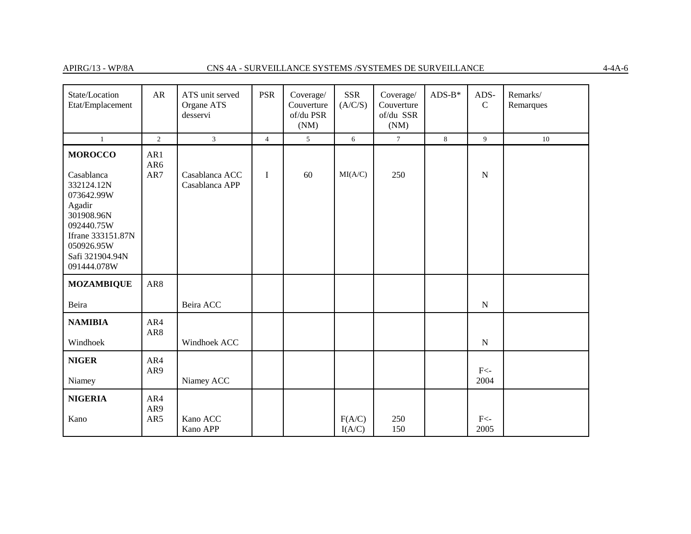### APIRG/13 - WP/8A CNS 4A - SURVEILLANCE SYSTEMS /SYSTEMES DE SURVEILLANCE

| State/Location<br>Etat/Emplacement                                                                                                                                  | AR                | ATS unit served<br>Organe ATS<br>desservi | <b>PSR</b>     | Coverage/<br>Couverture<br>of/du PSR<br>(NM) | <b>SSR</b><br>(A/C/S) | Coverage/<br>Couverture<br>of/du SSR<br>(NM) | $ADS-B*$ | ADS-<br>$\mathcal{C}$ | Remarks/<br>Remarques |
|---------------------------------------------------------------------------------------------------------------------------------------------------------------------|-------------------|-------------------------------------------|----------------|----------------------------------------------|-----------------------|----------------------------------------------|----------|-----------------------|-----------------------|
| $\mathbf{1}$                                                                                                                                                        | $\overline{2}$    | $\mathfrak{Z}$                            | $\overline{4}$ | 5 <sup>5</sup>                               | 6                     | $\overline{7}$                               | 8        | 9                     | 10                    |
| <b>MOROCCO</b><br>Casablanca<br>332124.12N<br>073642.99W<br>Agadir<br>301908.96N<br>092440.75W<br>Ifrane 333151.87N<br>050926.95W<br>Safi 321904.94N<br>091444.078W | AR1<br>AR6<br>AR7 | Casablanca ACC<br>Casablanca APP          | $\mathbf I$    | 60                                           | MI(A/C)               | 250                                          |          | ${\bf N}$             |                       |
| <b>MOZAMBIQUE</b>                                                                                                                                                   | AR8               |                                           |                |                                              |                       |                                              |          |                       |                       |
| Beira                                                                                                                                                               |                   | Beira ACC                                 |                |                                              |                       |                                              |          | ${\bf N}$             |                       |
| <b>NAMIBIA</b><br>Windhoek                                                                                                                                          | AR4<br>AR8        | Windhoek ACC                              |                |                                              |                       |                                              |          | ${\bf N}$             |                       |
| <b>NIGER</b><br>Niamey                                                                                                                                              | AR4<br>AR9        | Niamey ACC                                |                |                                              |                       |                                              |          | $F<$ -<br>2004        |                       |
| <b>NIGERIA</b><br>Kano                                                                                                                                              | AR4<br>AR9<br>AR5 | Kano ACC<br>Kano APP                      |                |                                              | F(A/C)<br>I(A/C)      | 250<br>150                                   |          | $F<$ -<br>2005        |                       |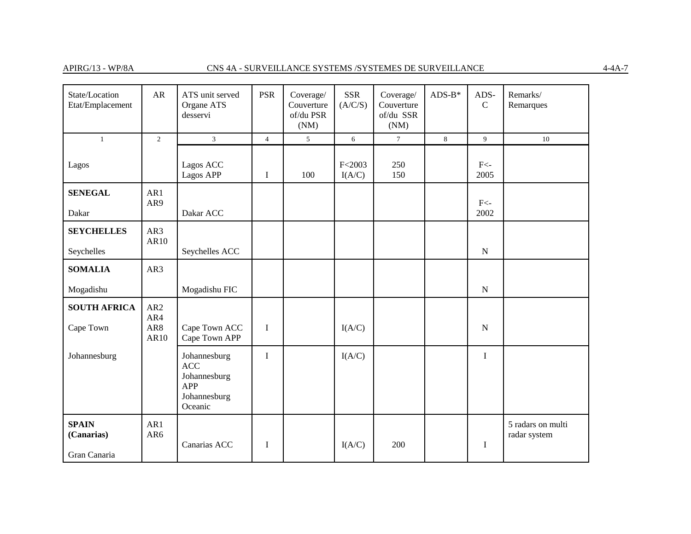# APIRG/13 - WP/8A CNS 4A - SURVEILLANCE SYSTEMS /SYSTEMES DE SURVEILLANCE

| State/Location<br>Etat/Emplacement         | AR                                    | ATS unit served<br>Organe ATS<br>desservi                                    | <b>PSR</b>     | Coverage/<br>Couverture<br>of/du PSR<br>(NM) | <b>SSR</b><br>(A/C/S) | Coverage/<br>Couverture<br>of/du SSR<br>(NM) | $ADS-B*$ | ADS-<br>$\mathcal{C}$ | Remarks/<br>Remarques             |
|--------------------------------------------|---------------------------------------|------------------------------------------------------------------------------|----------------|----------------------------------------------|-----------------------|----------------------------------------------|----------|-----------------------|-----------------------------------|
| $\mathbf{1}$                               | $\mathbf{2}$                          | $\mathfrak{Z}$                                                               | $\overline{4}$ | $\sqrt{5}$                                   | 6                     | $\tau$                                       | $\,8\,$  | 9                     | 10                                |
| Lagos                                      |                                       | Lagos ACC<br>Lagos APP                                                       | $\bf{I}$       | 100                                          | F < 2003<br>I(A/C)    | 250<br>150                                   |          | $F<$ -<br>2005        |                                   |
| <b>SENEGAL</b>                             | AR1                                   |                                                                              |                |                                              |                       |                                              |          |                       |                                   |
| Dakar                                      | AR9                                   | Dakar ACC                                                                    |                |                                              |                       |                                              |          | $F<$ -<br>2002        |                                   |
| <b>SEYCHELLES</b>                          | AR3<br>AR10                           |                                                                              |                |                                              |                       |                                              |          |                       |                                   |
| Seychelles                                 |                                       | Seychelles ACC                                                               |                |                                              |                       |                                              |          | ${\bf N}$             |                                   |
| <b>SOMALIA</b>                             | AR3                                   |                                                                              |                |                                              |                       |                                              |          |                       |                                   |
| Mogadishu                                  |                                       | Mogadishu FIC                                                                |                |                                              |                       |                                              |          | ${\bf N}$             |                                   |
| <b>SOUTH AFRICA</b><br>Cape Town           | AR <sub>2</sub><br>AR4<br>AR8<br>AR10 | Cape Town ACC<br>Cape Town APP                                               | $\bf{I}$       |                                              | I(A/C)                |                                              |          | ${\bf N}$             |                                   |
| Johannesburg                               |                                       | Johannesburg<br><b>ACC</b><br>Johannesburg<br>APP<br>Johannesburg<br>Oceanic | $\mathbf I$    |                                              | I(A/C)                |                                              |          | $\mathbf I$           |                                   |
| <b>SPAIN</b><br>(Canarias)<br>Gran Canaria | AR1<br>AR6                            | Canarias ACC                                                                 | I              |                                              | I(A/C)                | 200                                          |          | $\bf{I}$              | 5 radars on multi<br>radar system |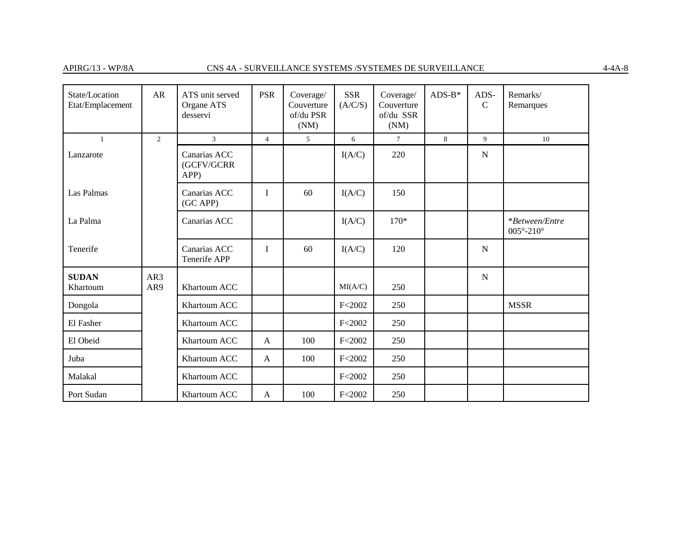| State/Location<br>Etat/Emplacement | AR             | ATS unit served<br>Organe ATS<br>desservi | <b>PSR</b>     | Coverage/<br>Couverture<br>of/du PSR<br>(NM) | <b>SSR</b><br>(A/C/S) | Coverage/<br>Couverture<br>of/du SSR<br>(NM) | $ADS-B*$ | ADS-<br>$\mathcal{C}$ | Remarks/<br>Remarques                     |
|------------------------------------|----------------|-------------------------------------------|----------------|----------------------------------------------|-----------------------|----------------------------------------------|----------|-----------------------|-------------------------------------------|
| $\mathbf{1}$                       | $\overline{2}$ | $\mathbf{3}$                              | $\overline{4}$ | 5                                            | 6                     | $\tau$                                       | 8        | 9                     | 10                                        |
| Lanzarote                          |                | Canarias ACC<br>(GCFV/GCRR<br>APP)        |                |                                              | I(A/C)                | 220                                          |          | $\mathbf N$           |                                           |
| Las Palmas                         |                | Canarias ACC<br>(GC APP)                  | $\mathbf{I}$   | 60                                           | I(A/C)                | 150                                          |          |                       |                                           |
| La Palma                           |                | Canarias ACC                              |                |                                              | I(A/C)                | $170*$                                       |          |                       | *Between/Entre<br>$005^\circ - 210^\circ$ |
| Tenerife                           |                | Canarias ACC<br>Tenerife APP              | $\mathbf{I}$   | 60                                           | I(A/C)                | 120                                          |          | $\mathbf N$           |                                           |
| <b>SUDAN</b><br>Khartoum           | AR3<br>AR9     | Khartoum ACC                              |                |                                              | MI(A/C)               | 250                                          |          | ${\bf N}$             |                                           |
| Dongola                            |                | Khartoum ACC                              |                |                                              | F < 2002              | 250                                          |          |                       | <b>MSSR</b>                               |
| El Fasher                          |                | Khartoum ACC                              |                |                                              | F < 2002              | 250                                          |          |                       |                                           |
| El Obeid                           |                | Khartoum ACC                              | $\mathbf{A}$   | 100                                          | F < 2002              | 250                                          |          |                       |                                           |
| Juba                               |                | Khartoum ACC                              | $\mathbf{A}$   | 100                                          | F < 2002              | 250                                          |          |                       |                                           |
| Malakal                            |                | Khartoum ACC                              |                |                                              | F < 2002              | 250                                          |          |                       |                                           |
| Port Sudan                         |                | Khartoum ACC                              | A              | 100                                          | F < 2002              | 250                                          |          |                       |                                           |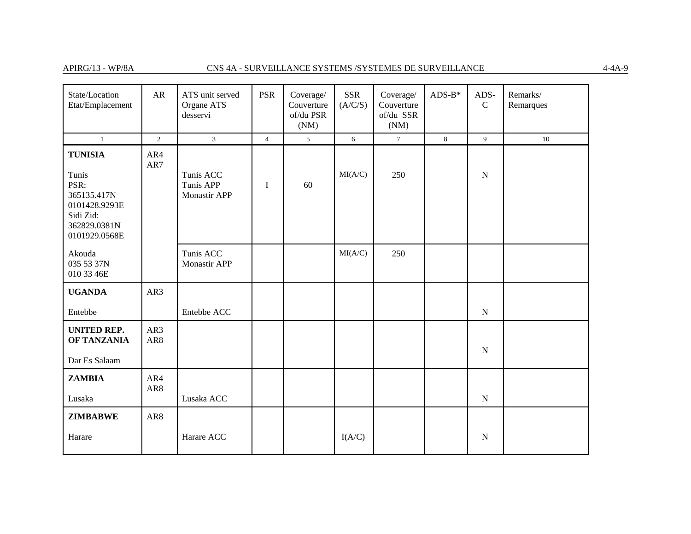# APIRG/13 - WP/8A CNS 4A - SURVEILLANCE SYSTEMS /SYSTEMES DE SURVEILLANCE

| State/Location<br>Etat/Emplacement                                                                            | AR              | ATS unit served<br>Organe ATS<br>desservi | <b>PSR</b>     | Coverage/<br>Couverture<br>of/du PSR<br>(NM) | SSR<br>(A/C/S) | Coverage/<br>Couverture<br>of/du SSR<br>(NM) | $ADS-B*$ | ADS-<br>$\mathcal{C}$ | Remarks/<br>Remarques |
|---------------------------------------------------------------------------------------------------------------|-----------------|-------------------------------------------|----------------|----------------------------------------------|----------------|----------------------------------------------|----------|-----------------------|-----------------------|
| $\mathbf{1}$                                                                                                  | $\overline{c}$  | $\mathfrak{Z}$                            | $\overline{4}$ | 5 <sup>5</sup>                               | 6              | $\overline{7}$                               | $8\,$    | 9                     | 10                    |
| <b>TUNISIA</b><br>Tunis<br>PSR:<br>365135.417N<br>0101428.9293E<br>Sidi Zid:<br>362829.0381N<br>0101929.0568E | AR4<br>AR7      | Tunis ACC<br>Tunis APP<br>Monastir APP    | I              | 60                                           | MI(A/C)        | 250                                          |          | ${\bf N}$             |                       |
| Akouda<br>035 53 37N<br>010 33 46E                                                                            |                 | Tunis ACC<br><b>Monastir APP</b>          |                |                                              | MI(A/C)        | 250                                          |          |                       |                       |
| <b>UGANDA</b>                                                                                                 | AR3             |                                           |                |                                              |                |                                              |          |                       |                       |
| Entebbe                                                                                                       |                 | Entebbe ACC                               |                |                                              |                |                                              |          | ${\bf N}$             |                       |
| <b>UNITED REP.</b><br>OF TANZANIA<br>Dar Es Salaam                                                            | AR3<br>AR8      |                                           |                |                                              |                |                                              |          | ${\bf N}$             |                       |
| <b>ZAMBIA</b>                                                                                                 | AR4             |                                           |                |                                              |                |                                              |          |                       |                       |
| Lusaka                                                                                                        | AR <sub>8</sub> | Lusaka ACC                                |                |                                              |                |                                              |          | ${\bf N}$             |                       |
| <b>ZIMBABWE</b>                                                                                               | AR8             |                                           |                |                                              |                |                                              |          |                       |                       |
| Harare                                                                                                        |                 | Harare ACC                                |                |                                              | I(A/C)         |                                              |          | ${\bf N}$             |                       |